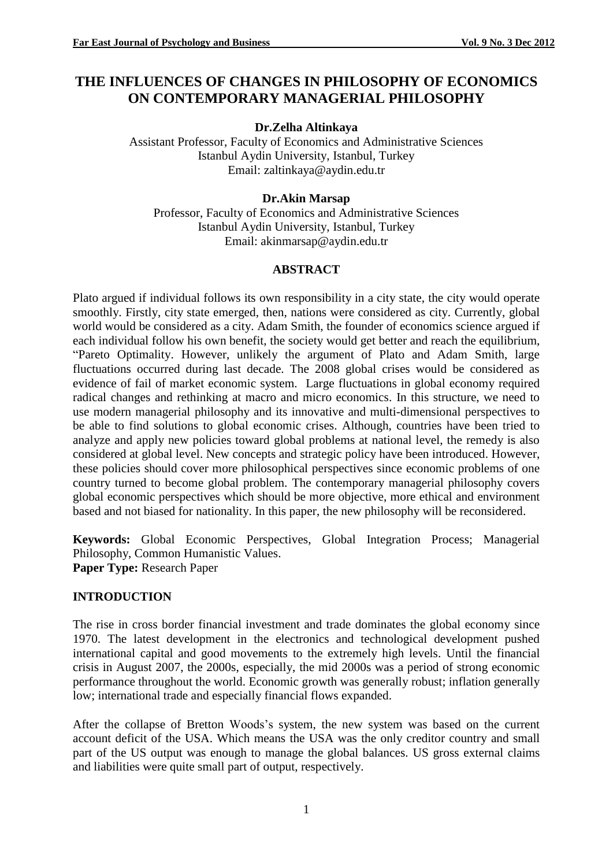# **THE INFLUENCES OF CHANGES IN PHILOSOPHY OF ECONOMICS ON CONTEMPORARY MANAGERIAL PHILOSOPHY**

#### **Dr.Zelha Altinkaya**

Assistant Professor, Faculty of Economics and Administrative Sciences Istanbul Aydin University, Istanbul, Turkey Email: zaltinkaya@aydin.edu.tr

#### **Dr.Akin Marsap**

Professor, Faculty of Economics and Administrative Sciences Istanbul Aydin University, Istanbul, Turkey Email: akinmarsap@aydin.edu.tr

### **ABSTRACT**

Plato argued if individual follows its own responsibility in a city state, the city would operate smoothly. Firstly, city state emerged, then, nations were considered as city. Currently, global world would be considered as a city. Adam Smith, the founder of economics science argued if each individual follow his own benefit, the society would get better and reach the equilibrium, "Pareto Optimality. However, unlikely the argument of Plato and Adam Smith, large fluctuations occurred during last decade. The 2008 global crises would be considered as evidence of fail of market economic system. Large fluctuations in global economy required radical changes and rethinking at macro and micro economics. In this structure, we need to use modern managerial philosophy and its innovative and multi-dimensional perspectives to be able to find solutions to global economic crises. Although, countries have been tried to analyze and apply new policies toward global problems at national level, the remedy is also considered at global level. New concepts and strategic policy have been introduced. However, these policies should cover more philosophical perspectives since economic problems of one country turned to become global problem. The contemporary managerial philosophy covers global economic perspectives which should be more objective, more ethical and environment based and not biased for nationality. In this paper, the new philosophy will be reconsidered.

**Keywords:** Global Economic Perspectives, Global Integration Process; Managerial Philosophy, Common Humanistic Values. **Paper Type:** Research Paper

**INTRODUCTION**

The rise in cross border financial investment and trade dominates the global economy since 1970. The latest development in the electronics and technological development pushed international capital and good movements to the extremely high levels. Until the financial crisis in August 2007, the 2000s, especially, the mid 2000s was a period of strong economic performance throughout the world. Economic growth was generally robust; inflation generally low; international trade and especially financial flows expanded.

After the collapse of Bretton Woods's system, the new system was based on the current account deficit of the USA. Which means the USA was the only creditor country and small part of the US output was enough to manage the global balances. US gross external claims and liabilities were quite small part of output, respectively.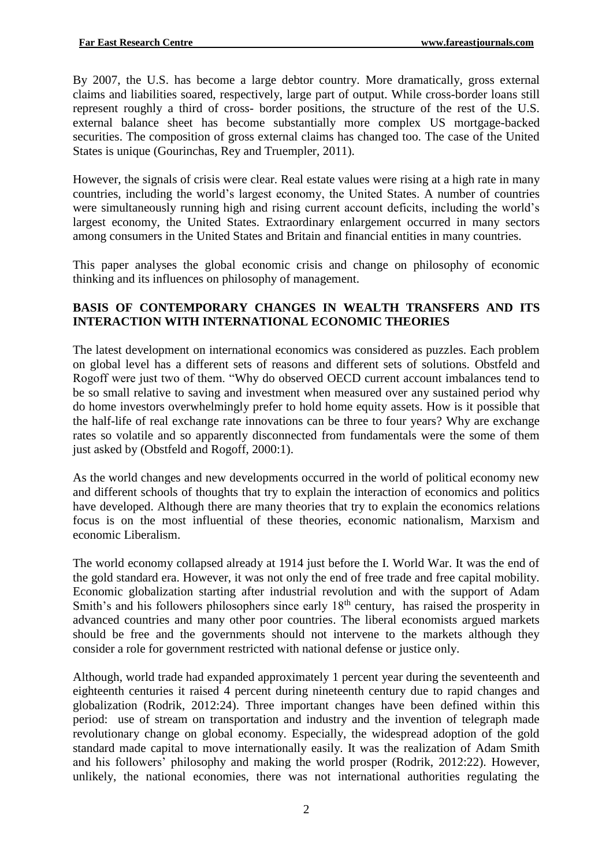By 2007, the U.S. has become a large debtor country. More dramatically, gross external claims and liabilities soared, respectively, large part of output. While cross-border loans still represent roughly a third of cross- border positions, the structure of the rest of the U.S. external balance sheet has become substantially more complex US mortgage-backed securities. The composition of gross external claims has changed too. The case of the United States is unique (Gourinchas, Rey and Truempler, 2011).

However, the signals of crisis were clear. Real estate values were rising at a high rate in many countries, including the world's largest economy, the United States. A number of countries were simultaneously running high and rising current account deficits, including the world's largest economy, the United States. Extraordinary enlargement occurred in many sectors among consumers in the United States and Britain and financial entities in many countries.

This paper analyses the global economic crisis and change on philosophy of economic thinking and its influences on philosophy of management.

#### **BASIS OF CONTEMPORARY CHANGES IN WEALTH TRANSFERS AND ITS INTERACTION WITH INTERNATIONAL ECONOMIC THEORIES**

The latest development on international economics was considered as puzzles. Each problem on global level has a different sets of reasons and different sets of solutions. Obstfeld and Rogoff were just two of them. "Why do observed OECD current account imbalances tend to be so small relative to saving and investment when measured over any sustained period why do home investors overwhelmingly prefer to hold home equity assets. How is it possible that the half-life of real exchange rate innovations can be three to four years? Why are exchange rates so volatile and so apparently disconnected from fundamentals were the some of them just asked by (Obstfeld and Rogoff, 2000:1).

As the world changes and new developments occurred in the world of political economy new and different schools of thoughts that try to explain the interaction of economics and politics have developed. Although there are many theories that try to explain the economics relations focus is on the most influential of these theories, economic nationalism, Marxism and economic Liberalism.

The world economy collapsed already at 1914 just before the I. World War. It was the end of the gold standard era. However, it was not only the end of free trade and free capital mobility. Economic globalization starting after industrial revolution and with the support of Adam Smith's and his followers philosophers since early 18<sup>th</sup> century, has raised the prosperity in advanced countries and many other poor countries. The liberal economists argued markets should be free and the governments should not intervene to the markets although they consider a role for government restricted with national defense or justice only.

Although, world trade had expanded approximately 1 percent year during the seventeenth and eighteenth centuries it raised 4 percent during nineteenth century due to rapid changes and globalization (Rodrik, 2012:24). Three important changes have been defined within this period: use of stream on transportation and industry and the invention of telegraph made revolutionary change on global economy. Especially, the widespread adoption of the gold standard made capital to move internationally easily. It was the realization of Adam Smith and his followers' philosophy and making the world prosper (Rodrik, 2012:22). However, unlikely, the national economies, there was not international authorities regulating the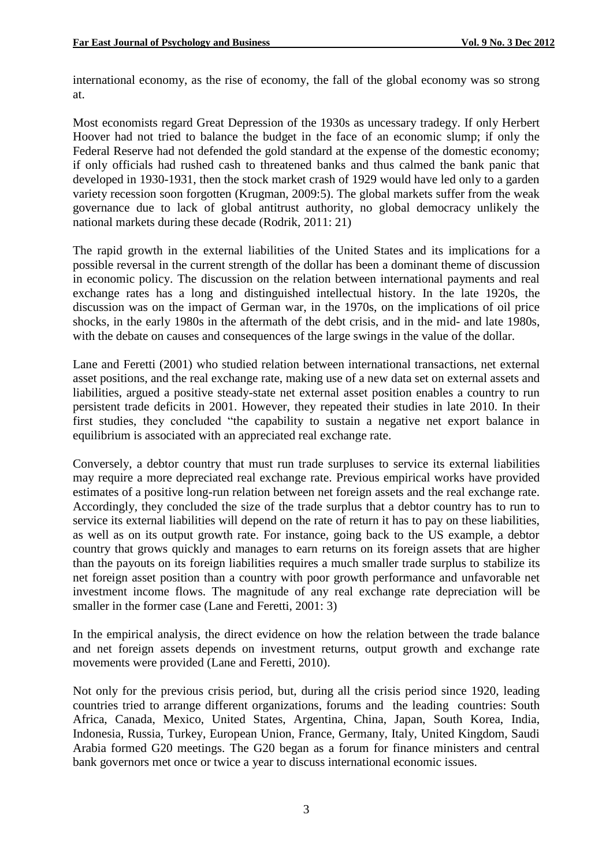international economy, as the rise of economy, the fall of the global economy was so strong at.

Most economists regard Great Depression of the 1930s as uncessary tradegy. If only Herbert Hoover had not tried to balance the budget in the face of an economic slump; if only the Federal Reserve had not defended the gold standard at the expense of the domestic economy; if only officials had rushed cash to threatened banks and thus calmed the bank panic that developed in 1930-1931, then the stock market crash of 1929 would have led only to a garden variety recession soon forgotten (Krugman, 2009:5). The global markets suffer from the weak governance due to lack of global antitrust authority, no global democracy unlikely the national markets during these decade (Rodrik, 2011: 21)

The rapid growth in the external liabilities of the United States and its implications for a possible reversal in the current strength of the dollar has been a dominant theme of discussion in economic policy. The discussion on the relation between international payments and real exchange rates has a long and distinguished intellectual history. In the late 1920s, the discussion was on the impact of German war, in the 1970s, on the implications of oil price shocks, in the early 1980s in the aftermath of the debt crisis, and in the mid- and late 1980s, with the debate on causes and consequences of the large swings in the value of the dollar.

Lane and Feretti (2001) who studied relation between international transactions, net external asset positions, and the real exchange rate, making use of a new data set on external assets and liabilities, argued a positive steady-state net external asset position enables a country to run persistent trade deficits in 2001. However, they repeated their studies in late 2010. In their first studies, they concluded "the capability to sustain a negative net export balance in equilibrium is associated with an appreciated real exchange rate.

Conversely, a debtor country that must run trade surpluses to service its external liabilities may require a more depreciated real exchange rate. Previous empirical works have provided estimates of a positive long-run relation between net foreign assets and the real exchange rate. Accordingly, they concluded the size of the trade surplus that a debtor country has to run to service its external liabilities will depend on the rate of return it has to pay on these liabilities, as well as on its output growth rate. For instance, going back to the US example, a debtor country that grows quickly and manages to earn returns on its foreign assets that are higher than the payouts on its foreign liabilities requires a much smaller trade surplus to stabilize its net foreign asset position than a country with poor growth performance and unfavorable net investment income flows. The magnitude of any real exchange rate depreciation will be smaller in the former case (Lane and Feretti, 2001: 3)

In the empirical analysis, the direct evidence on how the relation between the trade balance and net foreign assets depends on investment returns, output growth and exchange rate movements were provided (Lane and Feretti, 2010).

Not only for the previous crisis period, but, during all the crisis period since 1920, leading countries tried to arrange different organizations, forums and the leading countries: South Africa, Canada, Mexico, United States, Argentina, China, Japan, South Korea, India, Indonesia, Russia, Turkey, European Union, France, Germany, Italy, United Kingdom, Saudi Arabia formed G20 meetings. The G20 began as a forum for finance ministers and central bank governors met once or twice a year to discuss international economic issues.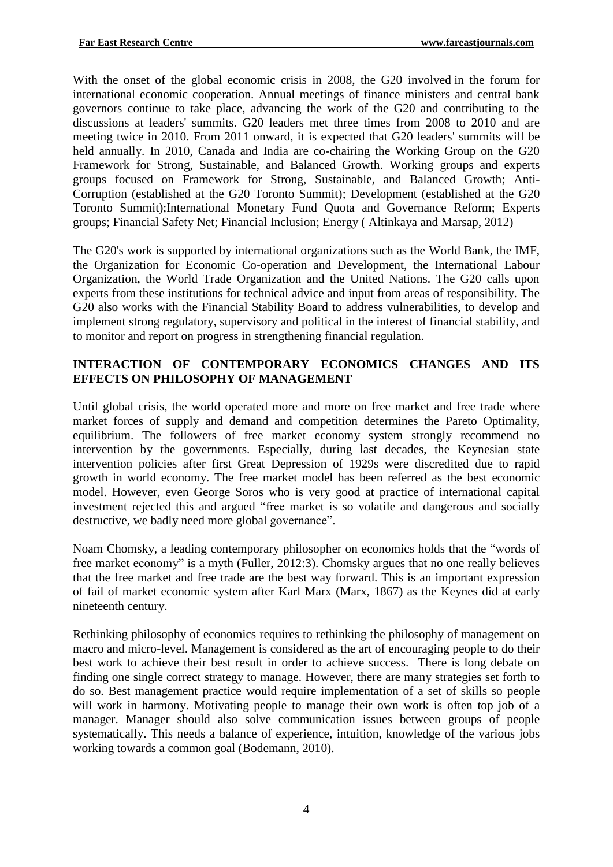With the onset of the global economic crisis in 2008, the G20 involved in the forum for international economic cooperation. Annual meetings of finance ministers and central bank governors continue to take place, advancing the work of the G20 and contributing to the discussions at leaders' summits. G20 leaders met three times from 2008 to 2010 and are meeting twice in 2010. From 2011 onward, it is expected that G20 leaders' summits will be held annually. In 2010, Canada and India are co-chairing the Working Group on the G20 Framework for Strong, Sustainable, and Balanced Growth. Working groups and experts groups focused on Framework for Strong, Sustainable, and Balanced Growth; Anti-Corruption (established at the G20 Toronto Summit); Development (established at the G20 Toronto Summit);International Monetary Fund Quota and Governance Reform; Experts groups; Financial Safety Net; Financial Inclusion; Energy ( Altinkaya and Marsap, 2012)

The G20's work is supported by international organizations such as the World Bank, the IMF, the Organization for Economic Co-operation and Development, the International Labour Organization, the World Trade Organization and the United Nations. The G20 calls upon experts from these institutions for technical advice and input from areas of responsibility. The G20 also works with the Financial Stability Board to address vulnerabilities, to develop and implement strong regulatory, supervisory and political in the interest of financial stability, and to monitor and report on progress in strengthening financial regulation.

## **INTERACTION OF CONTEMPORARY ECONOMICS CHANGES AND ITS EFFECTS ON PHILOSOPHY OF MANAGEMENT**

Until global crisis, the world operated more and more on free market and free trade where market forces of supply and demand and competition determines the Pareto Optimality, equilibrium. The followers of free market economy system strongly recommend no intervention by the governments. Especially, during last decades, the Keynesian state intervention policies after first Great Depression of 1929s were discredited due to rapid growth in world economy. The free market model has been referred as the best economic model. However, even George Soros who is very good at practice of international capital investment rejected this and argued "free market is so volatile and dangerous and socially destructive, we badly need more global governance".

Noam Chomsky, a leading contemporary philosopher on economics holds that the "words of free market economy" is a myth (Fuller, 2012:3). Chomsky argues that no one really believes that the free market and free trade are the best way forward. This is an important expression of fail of market economic system after Karl Marx (Marx, 1867) as the Keynes did at early nineteenth century.

Rethinking philosophy of economics requires to rethinking the philosophy of management on macro and micro-level. Management is considered as the art of encouraging people to do their best work to achieve their best result in order to achieve success. There is long debate on finding one single correct strategy to manage. However, there are many strategies set forth to do so. Best management practice would require implementation of a set of skills so people will work in harmony. Motivating people to manage their own work is often top job of a manager. Manager should also solve communication issues between groups of people systematically. This needs a balance of experience, intuition, knowledge of the various jobs working towards a common goal (Bodemann, 2010).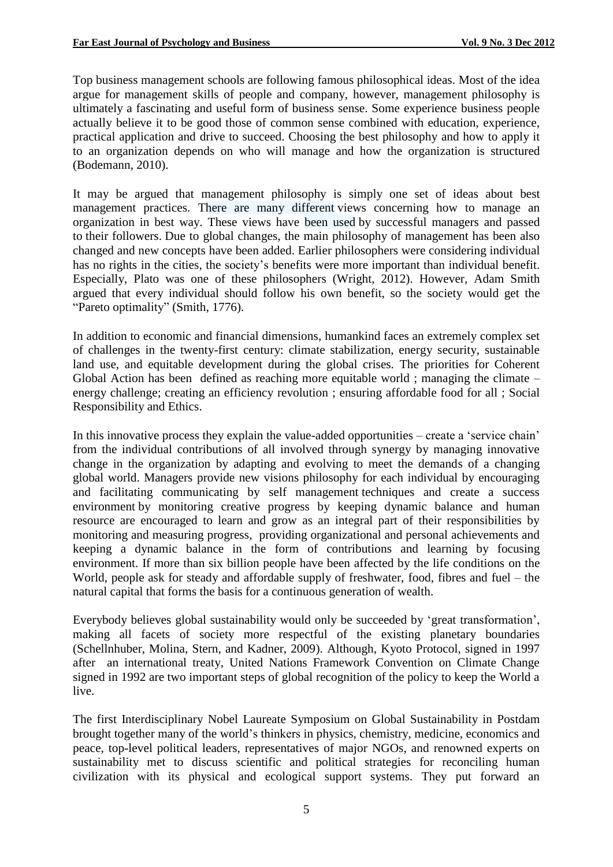Top business management schools are following famous philosophical ideas. Most of the idea argue for management skills of people and company, however, management philosophy is ultimately a fascinating and useful form of business sense. Some experience business people actually believe it to be good those of common sense combined with education, experience, practical application and drive to succeed. Choosing the best philosophy and how to apply it to an organization depends on who will manage and how the organization is structured (Bodemann, 2010).

It may be argued that management philosophy is simply one set of ideas about best management practices. There are many different views concerning how to manage an organization in best way. These views have been used by successful managers and passed to their followers. Due to global changes, the main philosophy of management has been also changed and new concepts have been added. Earlier philosophers were considering individual has no rights in the cities, the society's benefits were more important than individual benefit. Especially, Plato was one of these philosophers (Wright, 2012). However, Adam Smith argued that every individual should follow his own benefit, so the society would get the "Pareto optimality" (Smith, 1776).

In addition to economic and financial dimensions, humankind faces an extremely complex set of challenges in the twenty-first century: climate stabilization, energy security, sustainable land use, and equitable development during the global crises. The priorities for Coherent Global Action has been defined as reaching more equitable world ; managing the climate – energy challenge; creating an efficiency revolution ; ensuring affordable food for all ; Social Responsibility and Ethics.

In this innovative process they explain the value-added opportunities – create a 'service chain' from the individual contributions of all involved through synergy by managing innovative change in the organization by adapting and evolving to meet the demands of a changing global world. Managers provide new visions philosophy for each individual by encouraging and facilitating communicating by self management techniques and create a success environment by monitoring creative progress by keeping dynamic balance and human resource are encouraged to learn and grow as an integral part of their responsibilities by monitoring and measuring progress, providing organizational and personal achievements and keeping a dynamic balance in the form of contributions and learning by focusing environment. If more than six billion people have been affected by the life conditions on the World, people ask for steady and affordable supply of freshwater, food, fibres and fuel – the natural capital that forms the basis for a continuous generation of wealth.

Everybody believes global sustainability would only be succeeded by 'great transformation', making all facets of society more respectful of the existing planetary boundaries (Schellnhuber, Molina, Stern, and Kadner, 2009). Although, Kyoto Protocol, signed in 1997 after an international treaty, United Nations Framework Convention on Climate Change signed in 1992 are two important steps of global recognition of the policy to keep the World a live.

The first Interdisciplinary Nobel Laureate Symposium on Global Sustainability in Postdam brought together many of the world's thinkers in physics, chemistry, medicine, economics and peace, top-level political leaders, representatives of major NGOs, and renowned experts on sustainability met to discuss scientific and political strategies for reconciling human civilization with its physical and ecological support systems. They put forward an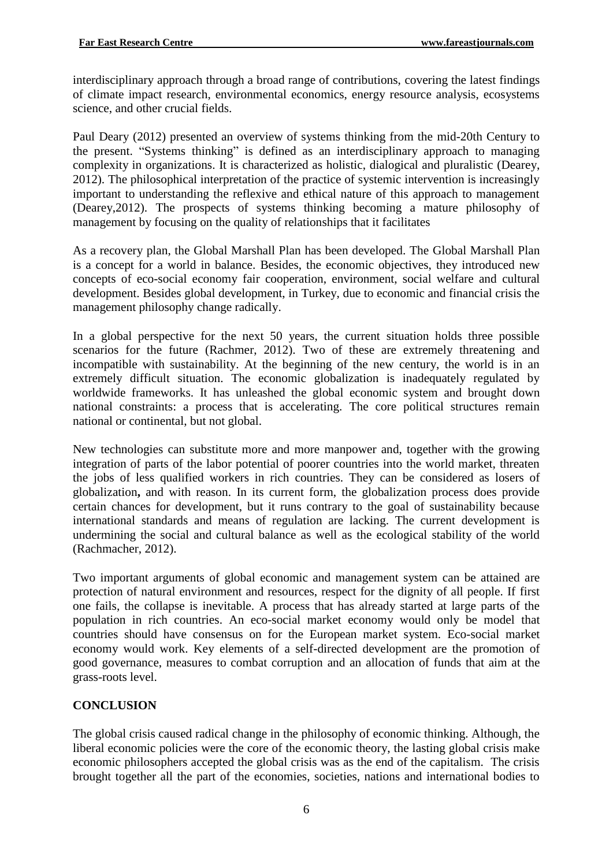interdisciplinary approach through a broad range of contributions, covering the latest findings of climate impact research, environmental economics, energy resource analysis, ecosystems science, and other crucial fields.

Paul Deary (2012) presented an overview of systems thinking from the mid-20th Century to the present. "Systems thinking" is defined as an interdisciplinary approach to managing complexity in organizations. It is characterized as holistic, dialogical and pluralistic (Dearey, 2012). The philosophical interpretation of the practice of systemic intervention is increasingly important to understanding the reflexive and ethical nature of this approach to management (Dearey,2012). The prospects of systems thinking becoming a mature philosophy of management by focusing on the quality of relationships that it facilitates

As a recovery plan, the Global Marshall Plan has been developed. The Global Marshall Plan is a concept for a world in balance. Besides, the economic objectives, they introduced new concepts of eco-social economy fair cooperation, environment, social welfare and cultural development. Besides global development, in Turkey, due to economic and financial crisis the management philosophy change radically.

In a global perspective for the next 50 years, the current situation holds three possible scenarios for the future (Rachmer, 2012). Two of these are extremely threatening and incompatible with sustainability. At the beginning of the new century, the world is in an extremely difficult situation. The economic globalization is inadequately regulated by worldwide frameworks. It has unleashed the global economic system and brought down national constraints: a process that is accelerating. The core political structures remain national or continental, but not global.

New technologies can substitute more and more manpower and, together with the growing integration of parts of the labor potential of poorer countries into the world market, threaten the jobs of less qualified workers in rich countries. They can be considered as losers of globalization**,** and with reason. In its current form, the globalization process does provide certain chances for development, but it runs contrary to the goal of sustainability because international standards and means of regulation are lacking. The current development is undermining the social and cultural balance as well as the ecological stability of the world (Rachmacher, 2012).

Two important arguments of global economic and management system can be attained are protection of natural environment and resources, respect for the dignity of all people. If first one fails, the collapse is inevitable. A process that has already started at large parts of the population in rich countries. An eco-social market economy would only be model that countries should have consensus on for the European market system. Eco-social market economy would work. Key elements of a self-directed development are the promotion of good governance, measures to combat corruption and an allocation of funds that aim at the grass-roots level.

## **CONCLUSION**

The global crisis caused radical change in the philosophy of economic thinking. Although, the liberal economic policies were the core of the economic theory, the lasting global crisis make economic philosophers accepted the global crisis was as the end of the capitalism. The crisis brought together all the part of the economies, societies, nations and international bodies to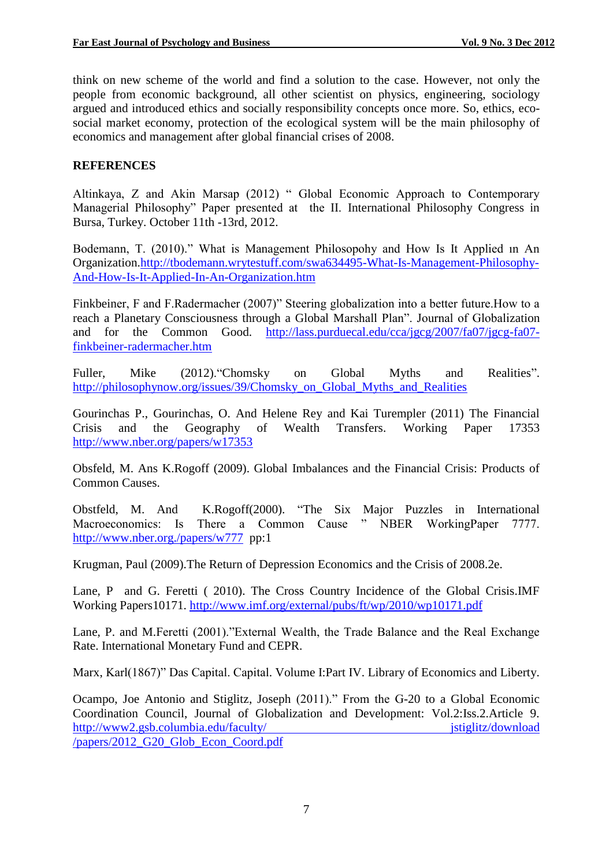think on new scheme of the world and find a solution to the case. However, not only the people from economic background, all other scientist on physics, engineering, sociology argued and introduced ethics and socially responsibility concepts once more. So, ethics, ecosocial market economy, protection of the ecological system will be the main philosophy of economics and management after global financial crises of 2008.

#### **REFERENCES**

Altinkaya, Z and Akin Marsap (2012) " Global Economic Approach to Contemporary Managerial Philosophy" Paper presented at the II. International Philosophy Congress in Bursa, Turkey. October 11th -13rd, 2012.

Bodemann, T. (2010)." What is Management Philosopohy and How Is It Applied ın An Organization[.http://tbodemann.wrytestuff.com/swa634495-What-Is-Management-Philosophy-](http://tbodemann.wrytestuff.com/swa634495-What-Is-Management-Philosophy-And-How-Is-It-Applied-In-An-Organization.htm)[And-How-Is-It-Applied-In-An-Organization.htm](http://tbodemann.wrytestuff.com/swa634495-What-Is-Management-Philosophy-And-How-Is-It-Applied-In-An-Organization.htm)

Finkbeiner, F and F.Radermacher (2007)" Steering globalization into a better future.How to a reach a Planetary Consciousness through a Global Marshall Plan". Journal of Globalization and for the Common Good. [http://lass.purduecal.edu/cca/jgcg/2007/fa07/jgcg-fa07](http://lass.purduecal.edu/cca/jgcg/2007/fa07/jgcg-fa07-finkbeiner-radermacher.htm) [finkbeiner-radermacher.htm](http://lass.purduecal.edu/cca/jgcg/2007/fa07/jgcg-fa07-finkbeiner-radermacher.htm)

Fuller, Mike (2012). Chomsky on Global Myths and Realities". [http://philosophynow.org/issues/39/Chomsky\\_on\\_Global\\_Myths\\_and\\_Realities](http://philosophynow.org/issues/39/Chomsky_on_Global_Myths_and_Realities)

Gourinchas P., Gourinchas, O. And Helene Rey and Kai Turempler (2011) The Financial Crisis and the Geography of Wealth Transfers. Working Paper 17353 <http://www.nber.org/papers/w17353>

Obsfeld, M. Ans K.Rogoff (2009). Global Imbalances and the Financial Crisis: Products of Common Causes.

Obstfeld, M. And K.Rogoff(2000). "The Six Major Puzzles in International Macroeconomics: Is There a Common Cause " NBER WorkingPaper 7777. <http://www.nber.org./papers/w777>pp:1

Krugman, Paul (2009).The Return of Depression Economics and the Crisis of 2008.2e.

Lane, P and G. Feretti ( 2010). The Cross Country Incidence of the Global Crisis.IMF Working Papers10171.<http://www.imf.org/external/pubs/ft/wp/2010/wp10171.pdf>

Lane, P. and M.Feretti (2001)."External Wealth, the Trade Balance and the Real Exchange Rate. International Monetary Fund and CEPR.

Marx, Karl(1867)" Das Capital. Capital. Volume I:Part IV. Library of Economics and Liberty.

Ocampo, Joe Antonio and Stiglitz, Joseph (2011)." From the G-20 to a Global Economic Coordination Council, Journal of Globalization and Development: Vol.2:Iss.2.Article 9. http://www2.gsb.columbia.edu/faculty/ jstiglitz/download [/papers/2012\\_G20\\_Glob\\_Econ\\_Coord.pdf](http://www2.gsb.columbia.edu/faculty/%20jstiglitz/download%20/papers/2012_G20_Glob_Econ_Coord.pdf)